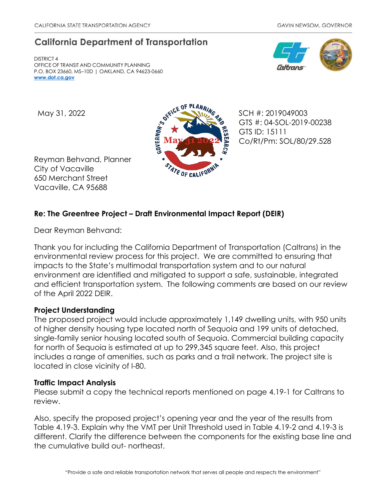# **California Department of Transportation**

DISTRICT 4 OFFICE OF TRANSIT AND COMMUNITY PLANNING P.O. BOX 23660, MS–10D | OAKLAND, CA 94623-0660 **[www.dot.ca.gov](http://www.dot.ca.gov/)**





GTS #: 04-SOL-2019-00238 GTS ID: 15111 Co/Rt/Pm: SOL/80/29.528

Reyman Behvand, Planner City of Vacaville 650 Merchant Street Vacaville, CA 95688

## **Re: The Greentree Project – Draft Environmental Impact Report (DEIR)**

Dear Reyman Behvand:

Thank you for including the California Department of Transportation (Caltrans) in the environmental review process for this project. We are committed to ensuring that impacts to the State's multimodal transportation system and to our natural environment are identified and mitigated to support a safe, sustainable, integrated and efficient transportation system. The following comments are based on our review of the April 2022 DEIR.

## **Project Understanding**

The proposed project would include approximately 1,149 dwelling units, with 950 units of higher density housing type located north of Sequoia and 199 units of detached, single-family senior housing located south of Sequoia. Commercial building capacity for north of Sequoia is estimated at up to 299,345 square feet. Also, this project includes a range of amenities, such as parks and a trail network. The project site is located in close vicinity of I-80.

## **Traffic Impact Analysis**

Please submit a copy the technical reports mentioned on page 4.19-1 for Caltrans to review.

Also, specify the proposed project's opening year and the year of the results from Table 4.19-3. Explain why the VMT per Unit Threshold used in Table 4.19-2 and 4.19-3 is different. Clarify the difference between the components for the existing base line and the cumulative build out- northeast.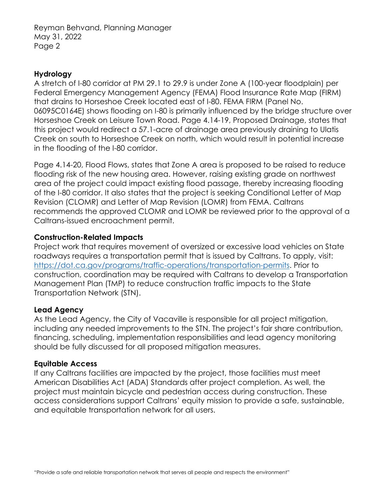Reyman Behvand, Planning Manager May 31, 2022 Page 2

#### **Hydrology**

A stretch of I-80 corridor at PM 29.1 to 29.9 is under Zone A (100-year floodplain) per Federal Emergency Management Agency (FEMA) Flood Insurance Rate Map (FIRM) that drains to Horseshoe Creek located east of I-80. FEMA FIRM (Panel No. 06095C0164E) shows flooding on I-80 is primarily influenced by the bridge structure over Horseshoe Creek on Leisure Town Road. Page 4.14-19, Proposed Drainage, states that this project would redirect a 57.1-acre of drainage area previously draining to Ulatis Creek on south to Horseshoe Creek on north, which would result in potential increase in the flooding of the I-80 corridor.

Page 4.14-20, Flood Flows, states that Zone A area is proposed to be raised to reduce flooding risk of the new housing area. However, raising existing grade on northwest area of the project could impact existing flood passage, thereby increasing flooding of the I-80 corridor. It also states that the project is seeking Conditional Letter of Map Revision (CLOMR) and Letter of Map Revision (LOMR) from FEMA. Caltrans recommends the approved CLOMR and LOMR be reviewed prior to the approval of a Caltrans-issued encroachment permit.

#### **Construction-Related Impacts**

Project work that requires movement of oversized or excessive load vehicles on State roadways requires a transportation permit that is issued by Caltrans. To apply, visit: [https://dot.ca.gov/programs/traffic-operations/transportation-permits.](https://dot.ca.gov/programs/traffic-operations/transportation-permits) Prior to construction, coordination may be required with Caltrans to develop a Transportation Management Plan (TMP) to reduce construction traffic impacts to the State Transportation Network (STN).

#### **Lead Agency**

As the Lead Agency, the City of Vacaville is responsible for all project mitigation, including any needed improvements to the STN. The project's fair share contribution, financing, scheduling, implementation responsibilities and lead agency monitoring should be fully discussed for all proposed mitigation measures.

#### **Equitable Access**

If any Caltrans facilities are impacted by the project, those facilities must meet American Disabilities Act (ADA) Standards after project completion. As well, the project must maintain bicycle and pedestrian access during construction. These access considerations support Caltrans' equity mission to provide a safe, sustainable, and equitable transportation network for all users.